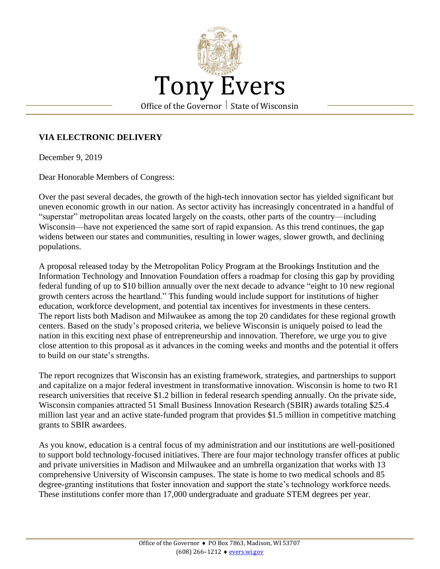

## **VIA ELECTRONIC DELIVERY**

December 9, 2019

Dear Honorable Members of Congress:

Over the past several decades, the growth of the high-tech innovation sector has yielded significant but uneven economic growth in our nation. As sector activity has increasingly concentrated in a handful of "superstar" metropolitan areas located largely on the coasts, other parts of the country—including Wisconsin—have not experienced the same sort of rapid expansion. As this trend continues, the gap widens between our states and communities, resulting in lower wages, slower growth, and declining populations.

A proposal released today by the Metropolitan Policy Program at the Brookings Institution and the Information Technology and Innovation Foundation offers a roadmap for closing this gap by providing federal funding of up to \$10 billion annually over the next decade to advance "eight to 10 new regional growth centers across the heartland." This funding would include support for institutions of higher education, workforce development, and potential tax incentives for investments in these centers. The report lists both Madison and Milwaukee as among the top 20 candidates for these regional growth centers. Based on the study's proposed criteria, we believe Wisconsin is uniquely poised to lead the nation in this exciting next phase of entrepreneurship and innovation. Therefore, we urge you to give close attention to this proposal as it advances in the coming weeks and months and the potential it offers to build on our state's strengths.

The report recognizes that Wisconsin has an existing framework, strategies, and partnerships to support and capitalize on a major federal investment in transformative innovation. Wisconsin is home to two R1 research universities that receive \$1.2 billion in federal research spending annually. On the private side, Wisconsin companies attracted 51 Small Business Innovation Research (SBIR) awards totaling \$25.4 million last year and an active state-funded program that provides \$1.5 million in competitive matching grants to SBIR awardees.

As you know, education is a central focus of my administration and our institutions are well-positioned to support bold technology-focused initiatives. There are four major technology transfer offices at public and private universities in Madison and Milwaukee and an umbrella organization that works with 13 comprehensive University of Wisconsin campuses. The state is home to two medical schools and 85 degree-granting institutions that foster innovation and support the state's technology workforce needs. These institutions confer more than 17,000 undergraduate and graduate STEM degrees per year.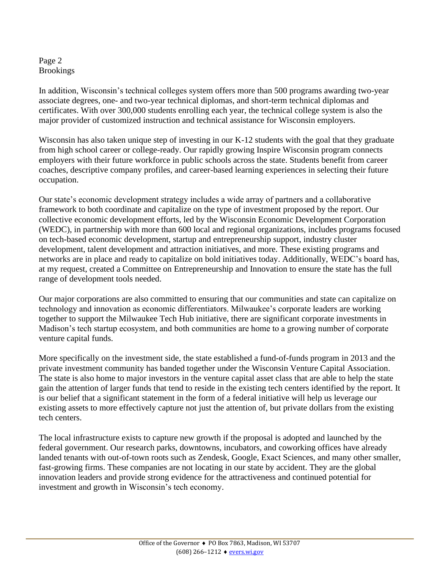## Page 2 Brookings

In addition, Wisconsin's technical colleges system offers more than 500 programs awarding two-year associate degrees, one- and two-year technical diplomas, and short-term technical diplomas and certificates. With over 300,000 students enrolling each year, the technical college system is also the major provider of customized instruction and technical assistance for Wisconsin employers.

Wisconsin has also taken unique step of investing in our K-12 students with the goal that they graduate from high school career or college-ready. Our rapidly growing Inspire Wisconsin program connects employers with their future workforce in public schools across the state. Students benefit from career coaches, descriptive company profiles, and career-based learning experiences in selecting their future occupation.

Our state's economic development strategy includes a wide array of partners and a collaborative framework to both coordinate and capitalize on the type of investment proposed by the report. Our collective economic development efforts, led by the Wisconsin Economic Development Corporation (WEDC), in partnership with more than 600 local and regional organizations, includes programs focused on tech-based economic development, startup and entrepreneurship support, industry cluster development, talent development and attraction initiatives, and more. These existing programs and networks are in place and ready to capitalize on bold initiatives today. Additionally, WEDC's board has, at my request, created a Committee on Entrepreneurship and Innovation to ensure the state has the full range of development tools needed.

Our major corporations are also committed to ensuring that our communities and state can capitalize on technology and innovation as economic differentiators. Milwaukee's corporate leaders are working together to support the Milwaukee Tech Hub initiative, there are significant corporate investments in Madison's tech startup ecosystem, and both communities are home to a growing number of corporate venture capital funds.

More specifically on the investment side, the state established a fund-of-funds program in 2013 and the private investment community has banded together under the Wisconsin Venture Capital Association. The state is also home to major investors in the venture capital asset class that are able to help the state gain the attention of larger funds that tend to reside in the existing tech centers identified by the report. It is our belief that a significant statement in the form of a federal initiative will help us leverage our existing assets to more effectively capture not just the attention of, but private dollars from the existing tech centers.

The local infrastructure exists to capture new growth if the proposal is adopted and launched by the federal government. Our research parks, downtowns, incubators, and coworking offices have already landed tenants with out-of-town roots such as Zendesk, Google, Exact Sciences, and many other smaller, fast-growing firms. These companies are not locating in our state by accident. They are the global innovation leaders and provide strong evidence for the attractiveness and continued potential for investment and growth in Wisconsin's tech economy.